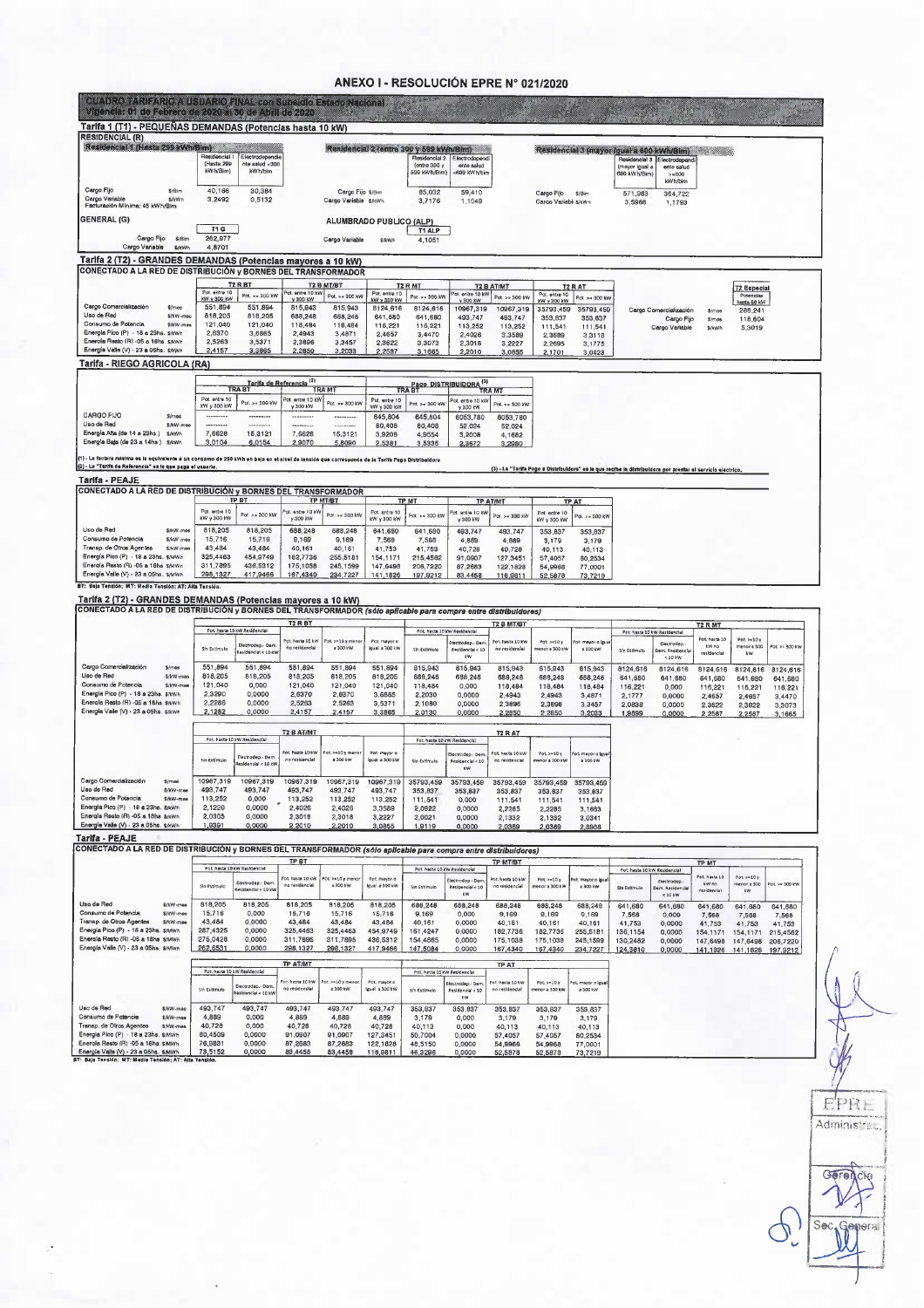### ANEXO I - RESOLUCIÓN EPRE Nº 021/2020

| CUADRO 7ARIZARIOA USUARIO FIVAL CONSUDSIGIO ESCOD NACIONAL U<br>Vigencia: 01 de Febrero de 2020 al 30 de Abril de 2020                                                                                         |                              |                                         |                                               |                                    |                                           |                                  |                                                     |                                             |                                    |                                     |                               |                                                 |                                                                                                             |                          |                               |                      |
|----------------------------------------------------------------------------------------------------------------------------------------------------------------------------------------------------------------|------------------------------|-----------------------------------------|-----------------------------------------------|------------------------------------|-------------------------------------------|----------------------------------|-----------------------------------------------------|---------------------------------------------|------------------------------------|-------------------------------------|-------------------------------|-------------------------------------------------|-------------------------------------------------------------------------------------------------------------|--------------------------|-------------------------------|----------------------|
| Tarifa 1 (T1) - PEQUEÑAS DEMANDAS (Potencias hasta 10 kW)                                                                                                                                                      |                              |                                         |                                               |                                    |                                           |                                  |                                                     |                                             |                                    |                                     |                               |                                                 |                                                                                                             |                          |                               |                      |
| <b>RESIDENCIAL (R)</b><br>Residencial 1 (Hasta 299 kWh/Bim)                                                                                                                                                    |                              |                                         |                                               |                                    |                                           |                                  | Residencial 2 (entre 300 y 599 kWh/Bim)             |                                             |                                    |                                     |                               |                                                 |                                                                                                             |                          |                               |                      |
|                                                                                                                                                                                                                |                              | Residencial 1<br>(Hasta 299<br>kWh/Bim) | Electrodependie<br>nte salud <300<br>kW h/bim |                                    |                                           |                                  | Residencial 2<br>fentre 300 y<br><b>599 kWh/Bim</b> | Electrodepend<br>ente salud<br><600 kWh/bir |                                    |                                     |                               | Residencial 3<br>(mayor igual a<br>600 kWh/Bim) | Residencial 3 (mayor igual a 600 kWh/Bim)<br>lectrodepend<br>ente salud<br>> 600<br>kW h/bim                | San Malla                |                               |                      |
| Cargo Fijo<br>Cargo Variable<br>Facturación Mínima: 45 kWh/Bim                                                                                                                                                 | <b>S/Bim</b><br>\$/kWh       | 40.166<br>3,2492                        | 30,384<br>0,5132                              |                                    | Cargo Fijo \$/Bim<br>Cargo Variable s/kwh |                                  | 85,032<br>3,7176                                    | 59,410<br>1,1049                            |                                    | Cargo Fijo<br>Cargo Variabl \$/kWh  | \$/Bin                        | 571,983<br>3,5966                               | 364,722<br>1,1793                                                                                           |                          |                               |                      |
| <b>GENERAL (G)</b>                                                                                                                                                                                             |                              |                                         |                                               |                                    |                                           | ALUMBRADO PUBLICO (ALP)          |                                                     |                                             |                                    |                                     |                               |                                                 |                                                                                                             |                          |                               |                      |
| Cargo Fijo                                                                                                                                                                                                     | \$/Bim                       | <b>T1 G</b><br>262,977                  |                                               |                                    | Cargo Variable                            | <b>S/kWF</b>                     | T1 ALP<br>4,1051                                    |                                             |                                    |                                     |                               |                                                 |                                                                                                             |                          |                               |                      |
| Cargo Variable<br>Tarifa 2 (T2) - GRANDES DEMANDAS (Potencias mayores a 10 kW)                                                                                                                                 | S/kWh                        | 4,8701                                  |                                               |                                    |                                           |                                  |                                                     |                                             |                                    |                                     |                               |                                                 |                                                                                                             |                          |                               |                      |
| CONECTADO A LA RED DE DISTRIBUCIÓN y BORNES DEL TRANSFORMADOR                                                                                                                                                  |                              |                                         |                                               |                                    |                                           |                                  |                                                     |                                             |                                    |                                     |                               |                                                 |                                                                                                             |                          |                               |                      |
|                                                                                                                                                                                                                |                              | Pot. entre 10                           | <b>T2 R B1</b><br>Pot. >> 300 kW              | Pot. entre 10 kVs                  | <b>T2 B MT/BT</b>                         | Pot. entre 10                    | T <sub>2</sub> R MT                                 | ot. entre 10 kV                             | <b>T2 B AT/MT</b>                  | Pot. entre 10                       | <b>T2 R AT</b>                |                                                 |                                                                                                             |                          | <b>T2 Especial</b>            |                      |
| Cargo Comercialización                                                                                                                                                                                         | <i><b>Simes</b></i>          | kW y 300 kW<br>551,894                  | 551,894                                       | y 300 KW<br>815,943                | Pot. >= 300 kW<br>815,943                 | <b>KW y 300 kW</b><br>8124,616   | Pot. >= 300 kW<br>8124,616                          | v 300 kW<br>10967,319                       | Pot. > = 300 kW<br>10967.319       | KW y 300 KW<br>35793.459            | Pot >= 300 kW<br>35793,459    |                                                 | Cargo Comercialización                                                                                      |                          | Potencias<br>hasta 50 kW      |                      |
| Uso de Red<br>Consumo de Potencia                                                                                                                                                                              | S/kW-mes                     | 818,205                                 | 818,205                                       | 688,248                            | 688,248                                   | 641,680                          | 641,680                                             | 493,747                                     | 493.747                            | 353.837                             | 353,837                       |                                                 | Cargo Fijo                                                                                                  | <b>S/mes</b><br>$$/$ mes | 288,241<br>118,604            |                      |
| Energía Pico (P) - 18 a 23hs. \$/kWh                                                                                                                                                                           | \$/kW-mee                    | 121,040<br>2,6370                       | 121,040<br>3,6865                             | 118,484<br>2,4943                  | 118,484<br>3,4871                         | 116,221<br>2,4657                | 116,221<br>3,4470                                   | 113,252<br>2,4026                           | 113,252<br>3,3589                  | 111,541<br>2,3689                   | 111,541<br>3,3118             |                                                 | Cargo Variable                                                                                              | \$/kWh                   | 5,3019                        |                      |
| Energía Resto (R) - 05 a 18hs. s/kwh                                                                                                                                                                           |                              | 2,5263                                  | 3.5371                                        | 2,3896                             | 3,3457                                    | 2,3622                           | 3,3073                                              | 2,3018                                      | 3,2227                             | 2,2695                              | 3,1775                        |                                                 |                                                                                                             |                          |                               |                      |
| Energía Valle (V) - 23 a 05hs. \$/kWh                                                                                                                                                                          |                              | 2,4157                                  | 3,3865                                        | 2,2850                             | 3,2033                                    | 2,2587                           | 3,1665                                              | 2,2010                                      | 3,0855                             | 2,1701                              | 3,0423                        |                                                 |                                                                                                             |                          |                               |                      |
| Tarifa - RIEGO AGRICOLA (RA)                                                                                                                                                                                   |                              |                                         |                                               |                                    |                                           |                                  |                                                     |                                             |                                    |                                     |                               |                                                 |                                                                                                             |                          |                               |                      |
|                                                                                                                                                                                                                |                              |                                         | <b>Tarifa de Referencia</b>                   |                                    | <b>TRAM</b>                               |                                  |                                                     | Pago DISTRIBUIDORA <sup>(3)</sup>           | TRA MT                             |                                     |                               |                                                 |                                                                                                             |                          |                               |                      |
|                                                                                                                                                                                                                |                              | Pot. entre 10<br>KW y 300 kW            | Pot. >= 300 kW                                | Pot. entre 10 KW<br>y 300 kW       | Pot. >= 300 kW                            | Pot. entre 10<br>kW y 300 kW     | Pot. >= 300 kW                                      | Pot, entre 10 kV<br>v 300 kW                | Pot. >= 300 kV                     |                                     |                               |                                                 |                                                                                                             |                          |                               |                      |
| CARGO FIJO<br>Uso de Rad                                                                                                                                                                                       | S/mos                        |                                         | <b>*********</b>                              |                                    |                                           | 645,804                          | 645,804                                             | 6053,780                                    | 6053,780                           |                                     |                               |                                                 |                                                                                                             |                          |                               |                      |
| Energía Alta (de 14 a 23hs.)                                                                                                                                                                                   | \$/kW-mee<br>SAWH            | ---------<br>7,6628                     | 15,3121                                       | <br>7,6628                         | <br>15,3121                               | 80,408<br>3.9208                 | 80,408<br>4,9554                                    | 52.024<br>3,2008                            | 52.024<br>4,1682                   |                                     |                               |                                                 |                                                                                                             |                          |                               |                      |
| Energía Baja (de 23 a 14hs.) \$/kWh                                                                                                                                                                            |                              | 3,0104                                  | 6,0154                                        | 2,9070                             | 5,8090                                    | 2,5381                           | 3,5335                                              | 2,3672                                      | 3,2980                             |                                     |                               |                                                 |                                                                                                             |                          |                               |                      |
| (1) - La factura minima es la equivalente a un consumo de 250 kWh en baja en el nivel de tensión que corresponda de la Tarifa Pago Distribuidora<br>(2) - La "Tarifa de Referencia" es la que paga el usuario. |                              |                                         |                                               |                                    |                                           |                                  |                                                     |                                             |                                    |                                     |                               |                                                 |                                                                                                             |                          |                               |                      |
| Tarifa - PEAJE                                                                                                                                                                                                 |                              |                                         |                                               |                                    |                                           |                                  |                                                     |                                             |                                    |                                     |                               |                                                 | (3) - La "Tarifa Pago a Distribuidore" es la que recibe la distribuidora por prestar el servicio eléctrico. |                          |                               |                      |
| CONECTADO A LA RED DE DISTRIBUCIÓN y BORNES DEL TRANSFORMADOR                                                                                                                                                  |                              |                                         |                                               |                                    |                                           |                                  |                                                     |                                             |                                    |                                     |                               |                                                 |                                                                                                             |                          |                               |                      |
|                                                                                                                                                                                                                |                              | Pot. entre 10                           | TP BT                                         | ot. entre 10 kV                    | TP MT/BT                                  |                                  | <b>TP MT</b>                                        |                                             | <b>TP ATIMT</b>                    |                                     | <b>TP AT</b>                  |                                                 |                                                                                                             |                          |                               |                      |
|                                                                                                                                                                                                                |                              | kW y 300 kW                             | Pot > = 300 kW                                | v 300 kW                           | Pot. > = 300 KW                           | Pot. entre 10<br>KW v 300 KW     | Pot. >= 300 kW                                      | ot. entre 10 kV<br>y 300 kW                 | Pot. > = 300 kVh                   | Pot. entre 10<br><b>KW y 300 KW</b> | Pot. >= 300 KV                |                                                 |                                                                                                             |                          |                               |                      |
| Uso de Red<br>Consumo de Potencia                                                                                                                                                                              | S/kW-mee<br>\$/kW-mee        | 818,205<br>15,716                       | 818,205                                       | 688,248                            | 688,248                                   | 641,680                          | 641,680                                             | 493,747                                     | 493,747                            | 353,837                             | 353,837                       |                                                 |                                                                                                             |                          |                               |                      |
| Transp. de Otros Agentes                                                                                                                                                                                       | \$/kW-mee                    | 43,484                                  | 15,716<br>43,484                              | 9,169<br>40,161                    | 9,169<br>40.161                           | 7.568<br>41,753                  | 7,568<br>41,753                                     | 4,889<br>40,728                             | 4.889<br>40,728                    | 3.179<br>40,113                     | 3,179<br>40,113               |                                                 |                                                                                                             |                          |                               |                      |
| Energía Pico (P) - 18 a 23hs, s/MWh<br>Energía Resto (R) -05 a 18hs s/MWn                                                                                                                                      |                              | 325,4463<br>311,7895                    | 454,9749<br>436,5312                          | 182,7736                           | 255,5181                                  | 154,1171                         | 215,4562                                            | 91,0907                                     | 127,3451                           | 57,4057                             | 80,2534                       |                                                 |                                                                                                             |                          |                               |                      |
| Energía Valle (V) - 23 a 05hs. \$/MWh                                                                                                                                                                          |                              | 298,1327                                | 417,9466                                      | 175,1038<br>167,4340               | 245.1599<br>234,7227                      | 147,6498<br>141,1826             | 206,7220<br>197,9212                                | 87,2683<br>83,4458                          | 122,1828<br>116,9811               | 54,9968<br>52,5878                  | 77,0001<br>73,7219            |                                                 |                                                                                                             |                          |                               |                      |
| CONECTADO A LA RED DE DISTRIBUCIÓN y BORNES DEL TRANSFORMADOR (sólo aplicable para compra entre distribuidores)                                                                                                |                              |                                         | Pot. hasta 10 kW Residencial                  | <b>T2 R BT</b>                     |                                           |                                  |                                                     | Pot. hasta 10 kw Reskfencial                | <b>T2 B MT/BT</b>                  |                                     |                               |                                                 | Pot. hasta 10 kW Residencial                                                                                | <b>T2 R MT</b>           |                               |                      |
|                                                                                                                                                                                                                |                              |                                         | Electrodep.- Dam                              | Pot. hasta 10 kw<br>no residencial | ot >=10 y meno<br>a 300 kW                | Pot, mayor o<br>lgual a 300 kW   |                                                     | iectrodep. Dam                              | Pot. hasta 10 kW                   | Pot. > r10y                         | ot. mayor o igu               |                                                 | Electrodep                                                                                                  | Pot. hasta 10<br>kW no   | $Pot. > = 10y$<br>menor a 300 | Pot. >= 300 kW       |
|                                                                                                                                                                                                                |                              | Sín Estimulo                            | lesidencial < 10 KV                           |                                    |                                           |                                  | Sin Estimulo                                        | Residencial < 10<br>kw                      | no residencial                     | enor a 300 kV                       | a 300 kW                      | Sin Estimulo                                    | em. Residencia<br>$< 10$ kW                                                                                 | residencia               | kw                            |                      |
| Cargo Comercialización<br>Uso de Red                                                                                                                                                                           | $$/$ mes<br>\$:kW-mes        | 551,894<br>818,205                      | 551,894<br>818,205                            | 551,894<br>818,205                 | 551,894<br>818,205                        | 551,894<br>818,205               | 815,943<br>688,248                                  | 815,943<br>688,248                          | 815,943<br>688,248                 | 815,943<br>688,248                  | 815,943<br>688.248            | 8124,616                                        | 8124,616                                                                                                    | 8124,616                 | 8124,616                      | 8124,616             |
| Consumo de Potencia                                                                                                                                                                                            | <b>S/kW-mee</b>              | 121,040                                 | 0,000                                         | 121,040                            | 121,040                                   | 121,040                          | 118,484                                             | 0,000                                       | 118,484                            | 118,484                             | 118,484                       | 641,680<br>116,221                              | 641,680<br>0,000                                                                                            | 641,680<br>116,221       | 641,680<br>116,221            | 641,680<br>116,221   |
| Energía Pico (P) - 18 a 23he. \$/kWh<br>Energia Resto (R) -05 a 18hs \$/kWh                                                                                                                                    |                              | 2.3290<br>2,2286                        | 0,0000<br>0,0000                              | 2.6370<br>2,5263                   | 2,6370<br>2,5263                          | 3,6865<br>3.5371                 | 2,2030<br>2.1080                                    | 0,0000<br>0,0000                            | 2,4943<br>2,3896                   | 2,4943<br>2,3896                    | 3,4871<br>3,3457              | 2,1777<br>2,0838                                | 0,0000<br>0,0000                                                                                            | 2,4657                   | 2.4657                        | 3,4470               |
| Energia Valle (V) - 23 a 05hs. S/kwh                                                                                                                                                                           |                              | 2,1282                                  | 0,0000                                        | 2,4157                             | 2,4157                                    | 3,3865                           | 2,0130                                              | 0,0000                                      | 2,2850                             | 2,2850                              | 3,2033                        | 1,9899                                          | 0,0000                                                                                                      | 2,3622<br>2,2587         | 2,3622<br>2,2587              | 3,3073<br>3,1665     |
|                                                                                                                                                                                                                |                              |                                         |                                               | <b>T2 B AT/M1</b>                  |                                           |                                  |                                                     |                                             | <b>T2 R AT</b>                     |                                     |                               |                                                 |                                                                                                             |                          |                               |                      |
|                                                                                                                                                                                                                |                              |                                         | Pot. hasta 10 kW Residencial                  |                                    |                                           |                                  |                                                     | Pot. hasta 10 kW Residencial                |                                    |                                     |                               |                                                 |                                                                                                             |                          |                               |                      |
|                                                                                                                                                                                                                |                              | Sin Estimulo                            | Electrodep. Derr<br>łeskiencia) < 10 kV       | Pot. hasta 10 kW<br>no residencial | ot.>>10 y meno<br>a 300 kw                | Pot. mayor o<br>isual a 300 kW   | Sin Estimulo                                        | lectrodep - Den<br>Residencial < 10         | Pot. hasta 10 kW<br>no residencial | $Pot. > = 10y$<br>enor a 300 kV     | ot, mayor o lau<br>a 300 kW   |                                                 |                                                                                                             |                          |                               |                      |
| Cargo Comercialización                                                                                                                                                                                         | \$/mes                       | 10967,319                               | 10967,319                                     | 10967,319                          | 10967,319                                 | 10967,319                        | 35793,459                                           | kW<br>35793,459                             |                                    |                                     | 35793,459 35793,459 35793,459 |                                                 |                                                                                                             |                          |                               |                      |
| Uso de Red                                                                                                                                                                                                     | S/kW-mar                     | 493.747                                 | 493,747                                       | 493,747                            | 493,747                                   | 493,747                          | 353.837                                             | 353,837                                     | 353.837                            | 353.837                             | 353,837                       |                                                 |                                                                                                             |                          |                               |                      |
| Consumo de Potencia<br>Energía Pico (P) - 18 a 23hs, s/kWh                                                                                                                                                     | \$/kW-mae                    | 113,252<br>2,1220                       | 0,000<br>٠<br>0,0000                          | 113,252<br>2,4026                  | 113,252<br>2,4026                         | 113,252<br>3,3589                | 111,541                                             | 0,000                                       | 111.541                            | 111,541                             | 111,541                       |                                                 |                                                                                                             |                          |                               |                      |
| Energía Resto (R) -05 a 18hs \$/kWh                                                                                                                                                                            |                              | 2,0305                                  | 0,0000                                        | 2,3018                             | 2,3018                                    | 3,2227                           | 2,0922<br>2,0021                                    | 0,0000<br>0.0000                            | 2,2285<br>2.1332                   | 2,2285<br>2,1332                    | 3,1683<br>3,0341              |                                                 |                                                                                                             |                          |                               |                      |
| Energía Valle (V) - 23 a 05hs. \$/kWh                                                                                                                                                                          |                              | 1,9391                                  | 0,0000                                        | 2,2010                             | 2,2010                                    | 3,0855                           | 1,9119                                              | 0,0000                                      | 2,0389                             | 2,0389                              | 2,8988                        |                                                 |                                                                                                             |                          |                               |                      |
| Tarifa - PEAJE<br>CONECTADO A LA RED DE DISTRIBUCIÓN y BORNES DEL TRANSFORMADOR (sólo aplicable para compra entre distribuidores)                                                                              |                              |                                         |                                               |                                    |                                           |                                  |                                                     |                                             |                                    |                                     |                               |                                                 |                                                                                                             |                          |                               |                      |
|                                                                                                                                                                                                                |                              | Pot hasta 10 kW Residencial             |                                               | TP BT                              |                                           |                                  |                                                     | Pot. hasta 10 kW Residencial                | <b>TP MT/BT</b>                    |                                     |                               |                                                 |                                                                                                             | TP MT                    |                               |                      |
|                                                                                                                                                                                                                |                              |                                         | Electrodep. - Dam                             | Fot, hasta 10 kW                   | Pot. >=10 y meno                          | Pot. mayor o                     |                                                     | lactrodep. - Den                            | Pot. hasta 10 kW                   | Pot. $> 10$                         | ot. mayor o lgu.              |                                                 | Pot hasta 10 kW Residencial<br>Electrodep                                                                   | Pot. hasts 10            | Pot. >=10 y                   |                      |
|                                                                                                                                                                                                                |                              | Sin Estimulo                            | tesidancial < 10 kW                           | no residencial                     | a 300 kW                                  | Igual a 300 kW                   | Sin Estimulo                                        | Residencial < 10<br><b>kW</b>               | no residencial                     | enor a 300 kV                       | a 300 kW                      | Sin Estimulo                                    | Jem, Residencia<br>$< 10$ kW                                                                                | kw no<br>residencial     | venor a 300<br>kW             | Pot. >= 300 kW       |
| Uso de Red                                                                                                                                                                                                     | S/kW-mea                     | 818,205                                 | 818,205                                       | 818,205                            | 818,205                                   | 818,205                          | 686,248                                             | 688,248                                     | 688,248                            | 688,248                             | 688,248                       | 641.680                                         | 641.680                                                                                                     | 641.680                  | 641,680                       | 641,680              |
| Consumo de Potencia<br>Transp. de Otros Agentes                                                                                                                                                                | \$/KW-mes<br><b>S/kW-mee</b> | 15.716<br>43,484                        | 0.000<br>0,0000                               | 15,716<br>43,484                   | 15,716<br>43,484                          | 15,716<br>43,484                 | 9.169<br>40,161                                     | 0,000<br>0.0000                             | 9,169<br>40,161                    | 9,169<br>40,161                     | 9.169<br>40,161               | 7.568<br>41,753                                 | 0,000<br>0,0000                                                                                             | 7.568<br>41,753          | 7,568<br>41,753               | 7.568<br>41,753      |
| Energía Pico (P) - 18 a 23hs. \$/MWh                                                                                                                                                                           |                              | 287,4325                                | 0,0000                                        | 325,4463                           | 325,4463                                  | 454,9749                         | 161,4247                                            | 0,0000                                      | 182,7736                           | 182,7736                            | 255,5181                      | 136,1154                                        | 0,0000                                                                                                      | 154, 1171                | 154,1171                      | 215,4562             |
| Energía Resto (R) -05 a 18hs s/MWh<br>Energía Valle (V) - 23 a 05hs. \$/Mwh                                                                                                                                    |                              | 275,0428<br>262,6531                    | 0,0000<br>0,0000                              | 311,7895<br>298,1327               | 311,7695<br>298,1327                      | 436,5312<br>417,9466             | 154,4665<br>147,5084                                | 0,0000<br>0,0000                            | 175,1038<br>167,4340               | 175,1038<br>167,4340                | 245,1599<br>234,7227          | 130,2482<br>124,3810                            | 0,0000<br>0,0000                                                                                            | 147,6498<br>141,1826     | 147,6498<br>141,1826          | 206,7220<br>197,9212 |
|                                                                                                                                                                                                                |                              |                                         |                                               | <b>TP AT/MT</b>                    |                                           |                                  |                                                     |                                             | <b>TP AT</b>                       |                                     |                               |                                                 |                                                                                                             |                          |                               |                      |
|                                                                                                                                                                                                                |                              |                                         |                                               |                                    |                                           |                                  | Pot. hasta 10 kW Residencial                        |                                             |                                    |                                     |                               |                                                 |                                                                                                             |                          |                               |                      |
|                                                                                                                                                                                                                |                              | Pot. hasta 10 kW Residencial            |                                               |                                    |                                           |                                  |                                                     |                                             |                                    |                                     |                               |                                                 |                                                                                                             |                          |                               |                      |
|                                                                                                                                                                                                                |                              | Sin Estimulo                            | lectrodep. Dem<br>esídenciai < 10 kV          | Pot. hasta 10 kW<br>no residencial | ot. >=10 y meno<br>a 300 kW               | Pot. mayor o<br>Igual = 300 kW   | Sin Estimulo                                        | Hectrodep. - Den<br>Residencial < 10        | Pot, hasta 10 kW<br>no residençial | Pot >=10y<br>enor + 300 kW          | ot, mayor o laua<br>a 300 kw  |                                                 |                                                                                                             |                          |                               |                      |
|                                                                                                                                                                                                                |                              |                                         |                                               |                                    |                                           |                                  |                                                     | kW.                                         |                                    |                                     |                               |                                                 |                                                                                                             |                          |                               |                      |
|                                                                                                                                                                                                                | \$/kW-mes<br>\$/kW-mes       | 493,747<br>4,889                        | 493,747<br>0,000                              | 493,747<br>4,889                   | 493.747<br>4,889                          | 493,747<br>4,889                 | 353.837<br>3,179                                    | 353,837<br>0.000                            | 353,837<br>3,179                   | 353,837<br>3,179                    | 353,837<br>3.179              |                                                 |                                                                                                             |                          |                               |                      |
|                                                                                                                                                                                                                | \$/kW-mes                    | 40.728<br>80,4509                       | 0,000<br>0,0000                               | 40,728<br>91,0907                  | 40,728<br>91,0907                         | 40,728                           | 40,113                                              | 0,000                                       | 40,113                             | 40,113                              | 40,113                        |                                                 |                                                                                                             |                          |                               |                      |
| Uso de Red<br>Consumo de Potencia<br>Transp. de Otros Agentes<br>Energia Pico (P) - 18 a 23hs. \$/MWh<br>Energía Resto (R) -05 a 18hs. \$/MWh<br>Energia Valle (V) - 23 a 05hs. \$/MWh                         |                              | 76,9831<br>73,5152                      | 0,0000<br>0,0000                              | 87,2683<br>83,4458                 | 87,2683<br>83,4458                        | 127,3451<br>122.1828<br>116,9811 | 50,7004<br>48,5150<br>46,3296                       | 0,0000<br>0.0000<br>0,0000                  | 57,4057<br>54.9968<br>52,5878      | 57,4057<br>54,9968<br>52,5878       | 80,2534<br>77,0001<br>73,7219 |                                                 |                                                                                                             |                          |                               |                      |

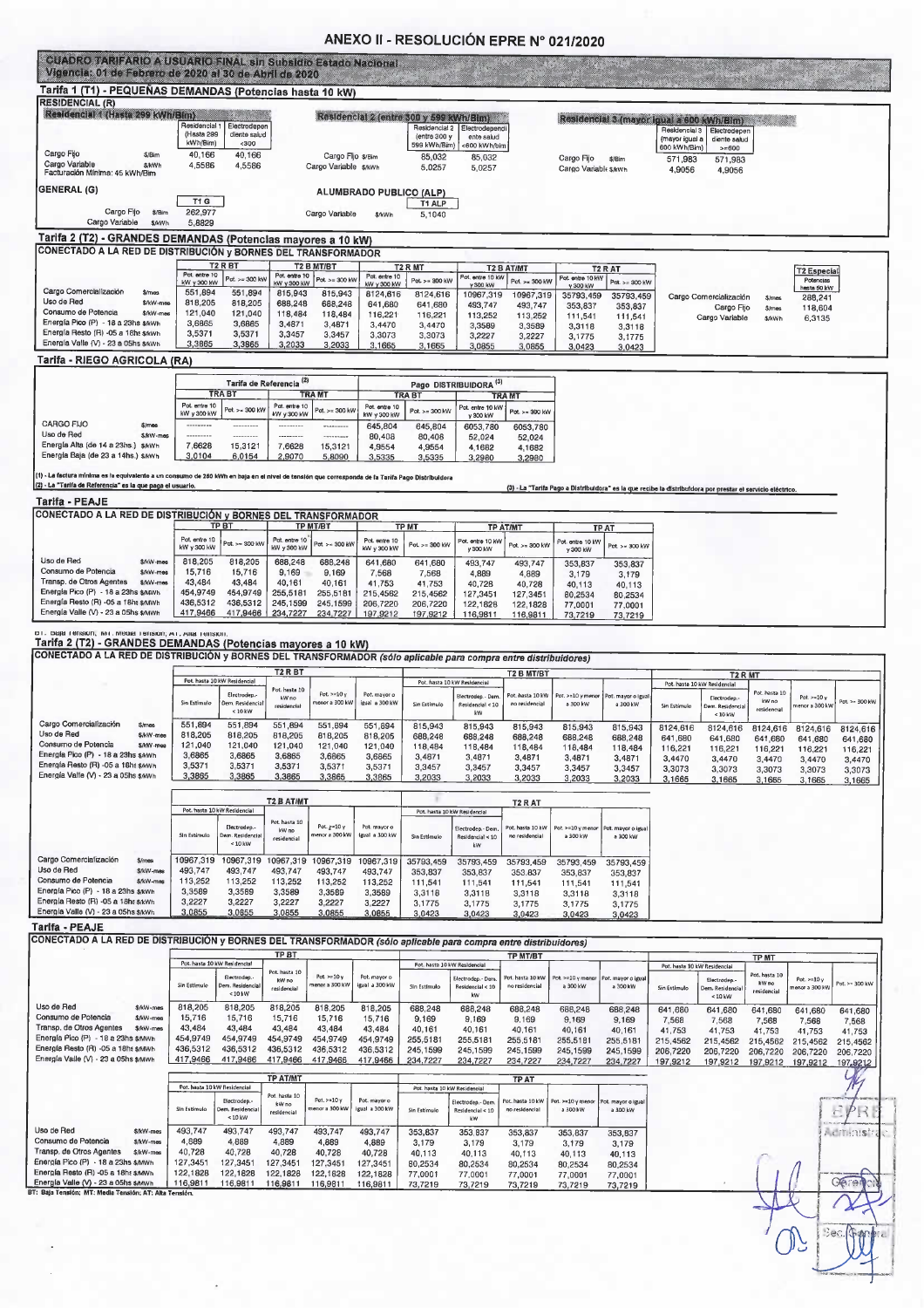#### ANEXO II - RESOLUCIÓN EPRE Nº 021/2020

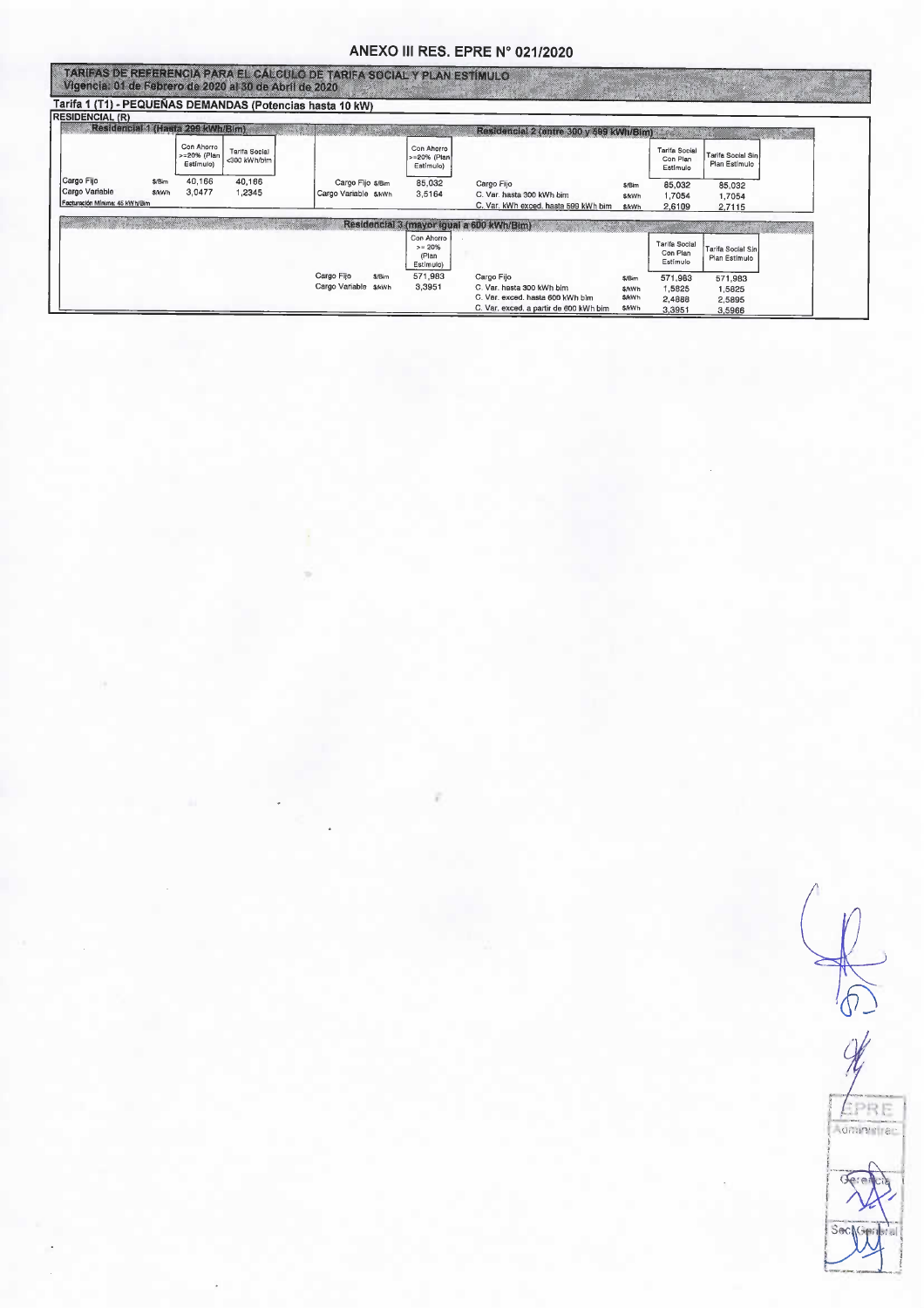### ANEXO III RES. EPRE N° 021/2020

| <b>RESIDENCIAL (R)</b>                                         |                        |                                        |                                      | Tarifa 1 (T1) - PEQUEÑAS DEMANDAS (Potencias hasta 10 kW) |                                              |                                                                                 |                                  |                                              |                                    |  |
|----------------------------------------------------------------|------------------------|----------------------------------------|--------------------------------------|-----------------------------------------------------------|----------------------------------------------|---------------------------------------------------------------------------------|----------------------------------|----------------------------------------------|------------------------------------|--|
| Residencial (Hasta 299 RMh/Bim)                                |                        |                                        |                                      |                                                           |                                              | Residencial 2 (entre 300 y 599 kWh/Blm)                                         |                                  |                                              |                                    |  |
|                                                                |                        | Con Ahorro<br>>=20% (Plan<br>Estimulo) | <b>Tarifa Social</b><br><300 kWh/bim |                                                           | Con Ahorro<br>-20% (Plan<br>Estímulo)        |                                                                                 |                                  | <b>Tarifa Social</b><br>Con Plan<br>Estimulo | Tarifa Social Sin<br>Plan Estímulo |  |
| Cargo Fijo<br>Cargo Variable<br>Facturación Mínima: 45 kWh/Bim | \$/Bim<br><b>S/kWh</b> | 40,166<br>3,0477                       | 40,166<br>1,2345                     | Cargo Fijo \$/Bim<br>Cargo Variable \$/kWh                | 85,032<br>3,5164                             | Cargo Fijo<br>C. Var. hasta 300 kWh bim<br>C. Var. kWh exced, hasta 599 kWh bim | \$/Bim<br><b>S/kWh</b><br>\$/kWh | 85,032<br>1.7054<br>2,6109                   | 85,032<br>1,7054<br>2,7115         |  |
|                                                                |                        |                                        |                                      |                                                           |                                              | Residencial 3 (mayor igual a 600 kWh/Bim)                                       |                                  |                                              |                                    |  |
|                                                                |                        |                                        |                                      |                                                           | Con Ahorro<br>$>= 20%$<br>(Plan<br>Estímulo) |                                                                                 |                                  | <b>Tarifa Social</b><br>Con Plan<br>Estímulo | Tarifa Social Sin<br>Plan Estímulo |  |
|                                                                |                        |                                        |                                      | Cargo Fijo<br>\$/B <sub>m</sub><br>Cargo Variable \$/kwh  | 571,983<br>3,3951                            | Cargo Fijo<br>C. Var. hasta 300 kWh bim<br>C. Var. exced. hasta 600 kWh blm     | \$/Bim<br><b>S/kWh</b>           | 571,983<br>1,5825                            | 571,983<br>1,5825                  |  |

 $\delta$ LPRE **NORTHLIST** Sech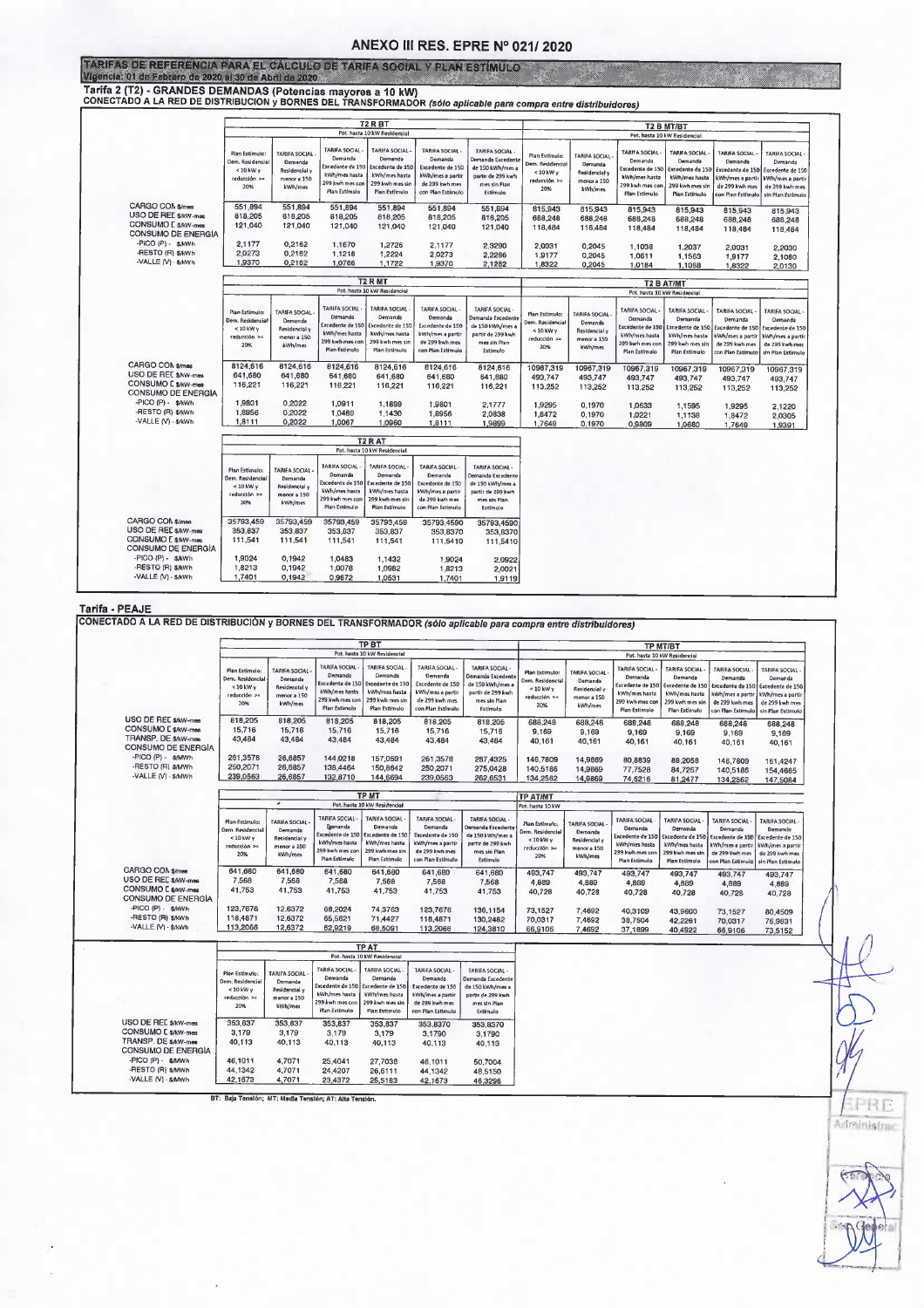#### ANEXO III RES. EPRE Nº 021/2020

| FARIFAS DE REFERENCIA CARA EL CÁLCULO DE TARIFA SOCIAL Y PLAN ESTÍMULO<br>Vigencia: 01 de Febrero de 2020 al 30 de Abril de 2020. |                                                                                 |                                                                   |                                                                                                         |                                                                                                   |                                                                                                                |                                                                                                         |                                                                               |                                                                            |                                                                                                  |                                                                                                   |                                                                                                               |                                                                                                           |  |  |  |
|-----------------------------------------------------------------------------------------------------------------------------------|---------------------------------------------------------------------------------|-------------------------------------------------------------------|---------------------------------------------------------------------------------------------------------|---------------------------------------------------------------------------------------------------|----------------------------------------------------------------------------------------------------------------|---------------------------------------------------------------------------------------------------------|-------------------------------------------------------------------------------|----------------------------------------------------------------------------|--------------------------------------------------------------------------------------------------|---------------------------------------------------------------------------------------------------|---------------------------------------------------------------------------------------------------------------|-----------------------------------------------------------------------------------------------------------|--|--|--|
|                                                                                                                                   |                                                                                 |                                                                   |                                                                                                         |                                                                                                   |                                                                                                                |                                                                                                         |                                                                               |                                                                            |                                                                                                  |                                                                                                   |                                                                                                               |                                                                                                           |  |  |  |
| Tarifa 2 (T2) - GRANDES DEMANDAS (Potencias mayores a 10 kW)                                                                      |                                                                                 |                                                                   |                                                                                                         |                                                                                                   |                                                                                                                |                                                                                                         |                                                                               |                                                                            |                                                                                                  |                                                                                                   |                                                                                                               |                                                                                                           |  |  |  |
| CONECTADO A LA RED DE DISTRIBUCION y BORNES DEL TRANSFORMADOR (sólo aplicable para compra entre distribuidores)                   |                                                                                 |                                                                   |                                                                                                         |                                                                                                   |                                                                                                                |                                                                                                         |                                                                               |                                                                            |                                                                                                  |                                                                                                   |                                                                                                               |                                                                                                           |  |  |  |
|                                                                                                                                   |                                                                                 |                                                                   |                                                                                                         | T <sub>2</sub> R <sub>BT</sub>                                                                    |                                                                                                                |                                                                                                         | T2 B MT/BT                                                                    |                                                                            |                                                                                                  |                                                                                                   |                                                                                                               |                                                                                                           |  |  |  |
|                                                                                                                                   |                                                                                 |                                                                   |                                                                                                         | Pot. hasta 10 kW Residencial                                                                      |                                                                                                                |                                                                                                         |                                                                               |                                                                            |                                                                                                  |                                                                                                   |                                                                                                               |                                                                                                           |  |  |  |
|                                                                                                                                   |                                                                                 |                                                                   |                                                                                                         |                                                                                                   |                                                                                                                | Pot. hasta 10 kW Residencial                                                                            |                                                                               |                                                                            |                                                                                                  |                                                                                                   |                                                                                                               |                                                                                                           |  |  |  |
|                                                                                                                                   | Plan Estímulo:<br>Dem. Residencial<br>$< 10$ kW $\gamma$<br>reducción >=<br>20% | TARIFA SOCIAL<br>Demanda<br>Residencial<br>menor a 150<br>kWh/mes | <b>TARIFA SOCIAL</b><br>Demanda<br>xcedente de 150<br>kWh/mes hasta<br>299 kwh mes cor<br>Plan Estímulo | TARIFA SOCIAL<br>Demanda<br>Excedente de 150<br>kWh/mes hasta<br>299 kwh mes sir<br>Plan Estimulo | <b>TARIFA SOCIAL</b><br>Demanda<br>Excedente de 150<br>kWh/mes a partir<br>de 299 kwh mes<br>con Plan Estimulo | TARIFA SOCIAL-<br>Demanda Excedent<br>de 150 kWh/mes a<br>partir de 299 kwh<br>mes sin Pian<br>Estimulo | Plan Estimulo:<br>Dem. Residencial<br>$< 10$ kW $\vee$<br>reducción >=<br>20% | <b>TARIFA SOCIAL</b><br>Demanda<br>Residencial y<br>menor a 150<br>kWh/mes | TARIFA SOCIAL<br>Demanda<br>xcedente de 150<br>kWh/mes hasta<br>299 kwh mes con<br>Plan Estimulo | TARIFA SOCIAL<br>Demanda<br>Excedente de 150<br>kWh/mes hasta<br>299 kwh mes sin<br>Plan Estimulo | <b>TARIFA SOCIAL</b><br>Demanda<br>Excedente de 150<br>kWh/mes a parti<br>de 299 kwh mes<br>con Plan Estímulo | TARIFA SOCIAL -<br>Demanda<br>Excedente de 150<br>kWh/mes a partir<br>de 299 kwh mes<br>sin Plan Estimulo |  |  |  |
| CARGO COM \$/mes                                                                                                                  | 551,894                                                                         | 551,894                                                           | 551,894                                                                                                 | 551.894                                                                                           |                                                                                                                |                                                                                                         |                                                                               |                                                                            |                                                                                                  |                                                                                                   |                                                                                                               |                                                                                                           |  |  |  |
| USO DE REL \$/kW-mes                                                                                                              | 818,205                                                                         | 818,205                                                           | 818,205                                                                                                 | 818,205                                                                                           | 551,894<br>818,205                                                                                             | 551.894<br>818,205                                                                                      | 815,943<br>688,248                                                            | 815,943                                                                    | 815,943                                                                                          | 815,943                                                                                           | 815,943                                                                                                       | 815.943                                                                                                   |  |  |  |
| CONSUMO E \$/kW-mes                                                                                                               | 121,040                                                                         | 121,040                                                           | 121,040                                                                                                 | 121,040                                                                                           | 121.040                                                                                                        | 121.040                                                                                                 | 118,484                                                                       | 688,248<br>118,484                                                         | 688,248<br>118,484                                                                               | 688,248<br>118,484                                                                                | 688,248                                                                                                       | 688,248                                                                                                   |  |  |  |
| CONSUMO DE ENERGÍA                                                                                                                |                                                                                 |                                                                   |                                                                                                         |                                                                                                   |                                                                                                                |                                                                                                         |                                                                               |                                                                            |                                                                                                  |                                                                                                   | 118,484                                                                                                       | 118,484                                                                                                   |  |  |  |
| -PICO (P) - S/kWh                                                                                                                 | 2,1177                                                                          | 0,2162                                                            | 1,1670                                                                                                  | 1,2726                                                                                            | 2,1177                                                                                                         | 2,3290                                                                                                  | 2,0031                                                                        | 0.2045                                                                     | 1,1038                                                                                           | 1,2037                                                                                            | 2,0031                                                                                                        | 2,2030                                                                                                    |  |  |  |
| -RESTO (R) \$/kWh                                                                                                                 | 2.0273                                                                          | 0,2162                                                            | 1.1218                                                                                                  | 1,2224                                                                                            | 2,0273                                                                                                         | 2,2286                                                                                                  | 1,9177                                                                        | 0.2045                                                                     | 1,0611                                                                                           | 1,1563                                                                                            | 1,9177                                                                                                        | 2,1080                                                                                                    |  |  |  |
| -VALLE (V) - \$/kWh                                                                                                               | 1,9370                                                                          | 0,2162                                                            | 1,0766                                                                                                  | 1.1722                                                                                            | 1,9370                                                                                                         | 2,1282                                                                                                  | 1,8322                                                                        | 0,2045                                                                     | 1.0184                                                                                           | 1,1088                                                                                            | 1,8322                                                                                                        | 2,0130                                                                                                    |  |  |  |
|                                                                                                                                   |                                                                                 |                                                                   |                                                                                                         | T <sub>2</sub> R MT                                                                               |                                                                                                                | <b>T2 B AT/MT</b>                                                                                       |                                                                               |                                                                            |                                                                                                  |                                                                                                   |                                                                                                               |                                                                                                           |  |  |  |
|                                                                                                                                   |                                                                                 |                                                                   |                                                                                                         | Pot. hasta 10 kW Residencial                                                                      |                                                                                                                | Pot. hasta 10 kW Residencial                                                                            |                                                                               |                                                                            |                                                                                                  |                                                                                                   |                                                                                                               |                                                                                                           |  |  |  |
|                                                                                                                                   |                                                                                 |                                                                   |                                                                                                         |                                                                                                   |                                                                                                                |                                                                                                         |                                                                               |                                                                            |                                                                                                  |                                                                                                   |                                                                                                               |                                                                                                           |  |  |  |
|                                                                                                                                   | Plan Estimulo:<br>Dem. Residencial                                              | <b>TARIFA SOCIAL</b><br>Demanda                                   | <b>TARIFA SOCIAL</b><br>Demanda                                                                         | <b>TARIFA SOCIAL</b><br>Demanda                                                                   | <b>TARIFA SOCIAL</b><br>Demanda                                                                                | <b>TARIFA SOCIAL -</b><br>Demanda Excedente                                                             | Plan Estimulo:<br>Dem. Residencial                                            | TARIFA SOCIAL                                                              | TARIFA SOCIAL -<br>Demanda                                                                       | <b>TARIFA SOCIAL</b><br>Demanda                                                                   | <b>TARIFA SOCIAL</b><br>Demanda                                                                               | <b>TARIFA SOCIAL</b><br>Demanda                                                                           |  |  |  |
|                                                                                                                                   | <10 kW y                                                                        | Residencial v                                                     | Excedente de 150                                                                                        | Excedente de 150                                                                                  | Excedente de 150                                                                                               | de 150 kWh/mes a                                                                                        | $< 10$ kW y                                                                   | Demanda<br>Residencial y                                                   | Excedente de 150                                                                                 | Excedente de 150                                                                                  | Excedente de 150                                                                                              | Excedente de 150                                                                                          |  |  |  |
|                                                                                                                                   | reducción >=                                                                    | menor a 150                                                       | kWh/mes hasta<br>299 kwh mes con                                                                        | kWh/mes hasta<br>299 kwh mes sin                                                                  | kWh/mes a partir<br>de 299 kwh mes                                                                             | partir de 299 kwh<br>mes sin Plan                                                                       | reducción >=                                                                  | menor a 150                                                                | kWh/mes hasta                                                                                    | kWh/mes hasta                                                                                     | Wh/mes a partir                                                                                               | kWh/mes a partir                                                                                          |  |  |  |
|                                                                                                                                   | 20%                                                                             | kWh/mes                                                           | Plan Estimulo                                                                                           | Plan Estimulo                                                                                     | con Plan Estimulo                                                                                              | Estímulo                                                                                                | 20%                                                                           | kWh/mes                                                                    | 299 kwh mes cor<br>Plan Estímulo                                                                 | 299 kwh mes sir<br>Plan Estimulo                                                                  | de 299 kwh mes<br>con Plan Estimulo                                                                           | de 299 kwh mes<br>sin Plan Estimulo                                                                       |  |  |  |
| CARGO CON \$/mes                                                                                                                  |                                                                                 |                                                                   |                                                                                                         |                                                                                                   |                                                                                                                |                                                                                                         |                                                                               |                                                                            |                                                                                                  |                                                                                                   |                                                                                                               |                                                                                                           |  |  |  |
| USO DE REC \$/kW-mea                                                                                                              | 8124,616<br>641,680                                                             | 8124.616<br>641,680                                               | 8124,616                                                                                                | 8124.616                                                                                          | 8124.616                                                                                                       | 8124,616                                                                                                | 10967,319                                                                     | 10967,319                                                                  | 10967,319                                                                                        | 10967,319                                                                                         | 10967,319                                                                                                     | 10967,319                                                                                                 |  |  |  |
| <b>CONSUMO E SAW-mes</b>                                                                                                          | 116,221                                                                         | 116,221                                                           | 641,680<br>116,221                                                                                      | 641,680<br>116,221                                                                                | 641,680<br>116,221                                                                                             | 641,680<br>116,221                                                                                      | 493,747                                                                       | 493,747                                                                    | 493.747                                                                                          | 493.747                                                                                           | 493.747                                                                                                       | 493,747                                                                                                   |  |  |  |
| CONSUMO DE ENERGÍA                                                                                                                |                                                                                 |                                                                   |                                                                                                         |                                                                                                   |                                                                                                                |                                                                                                         | 113,252                                                                       | 113,252                                                                    | 113,252                                                                                          | 113,252                                                                                           | 113,252                                                                                                       | 113,252                                                                                                   |  |  |  |
| -PICO (P) - \$/kWh                                                                                                                | 1,9801                                                                          | 0,2022                                                            | 1.0911                                                                                                  | 1,1899                                                                                            | 1,9801                                                                                                         | 2,1777                                                                                                  | 1,9295                                                                        | 0,1970                                                                     | 1.0633                                                                                           | 1,1595                                                                                            | 1,9295                                                                                                        | 2,1220                                                                                                    |  |  |  |
| -RESTO (R) \$AWh                                                                                                                  | 1,8956                                                                          | 0,2022                                                            | 1.0489                                                                                                  | 1.1430                                                                                            | 1,8956                                                                                                         | 2,0838                                                                                                  | 1,8472                                                                        | 0.1970                                                                     | 1,0221                                                                                           | 1,1138                                                                                            | 1,8472                                                                                                        | 2,0305                                                                                                    |  |  |  |
| -VALLE (V) - S/kWh                                                                                                                | 1,8111                                                                          | 0,2022                                                            | 1,0067                                                                                                  | 1,0960                                                                                            | 1,8111                                                                                                         | 1,9899                                                                                                  | 1,7649                                                                        | 0.1970                                                                     | 0.9809                                                                                           | 1,0680                                                                                            | 1,7649                                                                                                        | 1,9391                                                                                                    |  |  |  |
|                                                                                                                                   |                                                                                 |                                                                   |                                                                                                         |                                                                                                   |                                                                                                                |                                                                                                         |                                                                               |                                                                            |                                                                                                  |                                                                                                   |                                                                                                               |                                                                                                           |  |  |  |
|                                                                                                                                   |                                                                                 |                                                                   |                                                                                                         | T <sub>2</sub> RAT<br>Pot. hasta 10 kW Residencial                                                |                                                                                                                |                                                                                                         |                                                                               |                                                                            |                                                                                                  |                                                                                                   |                                                                                                               |                                                                                                           |  |  |  |
|                                                                                                                                   |                                                                                 |                                                                   |                                                                                                         |                                                                                                   |                                                                                                                |                                                                                                         |                                                                               |                                                                            |                                                                                                  |                                                                                                   |                                                                                                               |                                                                                                           |  |  |  |
|                                                                                                                                   | Plan Estimulo:                                                                  | TARIFA SOCIAL                                                     | TARIFA SOCIAL<br>Demanda                                                                                | <b>TARIFA SOCIAL</b><br>Demanda                                                                   | <b>TARIFA SOCIAL</b><br>Demanda                                                                                | TARIFA SOCIAL -<br>Demanda Excedente                                                                    |                                                                               |                                                                            |                                                                                                  |                                                                                                   |                                                                                                               |                                                                                                           |  |  |  |
|                                                                                                                                   | Dem. Residencia<br>$<$ 10 kW $\vee$                                             | Demanda<br>Residencial y                                          | Excedente de 150                                                                                        | Excedente de 150                                                                                  | Excedente de 150                                                                                               | de 150 kWh/mes a                                                                                        |                                                                               |                                                                            |                                                                                                  |                                                                                                   |                                                                                                               |                                                                                                           |  |  |  |
|                                                                                                                                   | reducción >=                                                                    | menor a 150                                                       | kWh/mes hasta                                                                                           | kWh/mes hasta                                                                                     | kWh/mes a partir                                                                                               | partir de 299 kwh                                                                                       |                                                                               |                                                                            |                                                                                                  |                                                                                                   |                                                                                                               |                                                                                                           |  |  |  |
|                                                                                                                                   | 20%                                                                             | kWh/mes                                                           | 299 kwh mes con<br>Plan Estimulo                                                                        | 299 kwh mes sir<br>Plan Estimulo                                                                  | de 299 kwh mes<br>con Plan Estimulo                                                                            | mes sin Plan<br>Estímulo                                                                                |                                                                               |                                                                            |                                                                                                  |                                                                                                   |                                                                                                               |                                                                                                           |  |  |  |
|                                                                                                                                   |                                                                                 |                                                                   |                                                                                                         |                                                                                                   |                                                                                                                |                                                                                                         |                                                                               |                                                                            |                                                                                                  |                                                                                                   |                                                                                                               |                                                                                                           |  |  |  |
| CARGO CON \$/mes<br>USO DE REE S/kW-mes                                                                                           | 35793,459<br>353.837                                                            | 35793.459<br>353,837                                              | 35793.459<br>353.837                                                                                    | 35793,459                                                                                         | 35793.4590                                                                                                     | 35793,4590                                                                                              |                                                                               |                                                                            |                                                                                                  |                                                                                                   |                                                                                                               |                                                                                                           |  |  |  |
| CONSUMO E \$/kW-mes                                                                                                               | 111,541                                                                         | 111,541                                                           | 111,541                                                                                                 | 353,837<br>111,541                                                                                | 353,8370<br>111,5410                                                                                           | 353,8370<br>111,5410                                                                                    |                                                                               |                                                                            |                                                                                                  |                                                                                                   |                                                                                                               |                                                                                                           |  |  |  |
| CONSUMO DE ENERGÍA                                                                                                                |                                                                                 |                                                                   |                                                                                                         |                                                                                                   |                                                                                                                |                                                                                                         |                                                                               |                                                                            |                                                                                                  |                                                                                                   |                                                                                                               |                                                                                                           |  |  |  |
| -PICO (P) - \$/kWh                                                                                                                | 1,9024                                                                          | 0,1942                                                            | 1,0483                                                                                                  | 1,1432                                                                                            | 1,9024                                                                                                         | 2,0922                                                                                                  |                                                                               |                                                                            |                                                                                                  |                                                                                                   |                                                                                                               |                                                                                                           |  |  |  |
| -RESTO (R) \$AWh                                                                                                                  | 1,8213                                                                          | 0.1942                                                            | 1,0078                                                                                                  | 1,0982                                                                                            | 1,8213                                                                                                         | 2,0021                                                                                                  |                                                                               |                                                                            |                                                                                                  |                                                                                                   |                                                                                                               |                                                                                                           |  |  |  |
| -VALLE (V) - \$/kWh                                                                                                               | 1,7401                                                                          | 0.1942                                                            | 0,9672                                                                                                  | 1.0531                                                                                            | 1,7401                                                                                                         | 1,9119                                                                                                  |                                                                               |                                                                            |                                                                                                  |                                                                                                   |                                                                                                               |                                                                                                           |  |  |  |

|                                                                   |                                                              |                                                    |                                                                                 | <b>TP BT</b><br>Pot. hasta 10 kW Residencial                                     |                                                                                        |                                                                                        |                                                        |                                                    | TP MT/BT                                                                         |                                                                                  |                                                                                                       |                                                                    |  |
|-------------------------------------------------------------------|--------------------------------------------------------------|----------------------------------------------------|---------------------------------------------------------------------------------|----------------------------------------------------------------------------------|----------------------------------------------------------------------------------------|----------------------------------------------------------------------------------------|--------------------------------------------------------|----------------------------------------------------|----------------------------------------------------------------------------------|----------------------------------------------------------------------------------|-------------------------------------------------------------------------------------------------------|--------------------------------------------------------------------|--|
|                                                                   | Plan Estimulo:                                               | <b>TARIFA SOCIAL</b>                               | <b>TARIFA SOCIAL</b>                                                            | <b>TARIFA SOCIAL</b>                                                             | <b>TARIFA SOCIAL</b>                                                                   | TARIFA SOCIAL-                                                                         | Plan Estimulo:                                         | <b>TARIFA SOCIAL</b>                               | TARIFA SOCIAL                                                                    | Pot. hasta 10 kW Residencial<br><b>TARIFA SOCIAL</b>                             | TARIFA SOCIAL                                                                                         | TARIFA SOCIAL                                                      |  |
|                                                                   | Dem. Residencial<br><10 kW y<br>reducción >»<br>20%          | Demanda<br>Residencial y<br>menor a 150<br>kWh/mes | Demanda<br>xcedente de 150<br>kWh/mes hasta<br>299 kwh mes con<br>Plan Estimulo | Demanda<br>Excedente de 150<br>kWh/mes hasta<br>299 kwh mes sin<br>Plan Estimulo | Demanda<br>Excedente de 150<br>kWh/mes a partir<br>de 299 kwh mes<br>con Plan Estímulo | Demanda Excedente<br>de 150 kWh/mes a<br>partir de 299 kwh<br>mes sin Plan<br>Estímulo | Dem. Residencial<br>$< 10$ kW y<br>reducción >><br>20% | Demanda<br>Residencial y<br>menor a 150<br>kWh/mes | Demanda<br>Excedente de 150<br>kWh/mes hasta<br>299 kwh mes con<br>Plan Estimulo | Demanda<br>Excedente de 150<br>kWh/mes hasta<br>299 kwh mes sir<br>Plan Estimulo | Demanda<br>Excedente de 150 Excedente de 150<br>Wh/mes a partir<br>de 299 kwh mes<br>on Plan Estimulo | Demanda<br>kWh/mes a partir<br>de 299 kwh mes<br>sin Plan Estímuío |  |
| USO DE REC \$AW-mas<br>CONSUMO E S/kW-mes<br>TRANSP. DE \$/kW-mes | 818,205<br>15,716<br>43,484                                  | 818,205<br>15,716<br>43.484                        | 818,205<br>15,716<br>43,484                                                     | 818,205<br>15,716                                                                | 818,205<br>15,716                                                                      | 818,205<br>15,716                                                                      | 688,248<br>9.169                                       | 688,248<br>9,169                                   | 688.248<br>9,169                                                                 | 688,248<br>9,169                                                                 | 688,248<br>9,169                                                                                      | 688,248<br>9,169                                                   |  |
| CONSUMO DE ENERGÍA                                                |                                                              |                                                    |                                                                                 | 43,484                                                                           | 43,484                                                                                 | 43,484                                                                                 | 40.161                                                 | 40,161                                             | 40,161                                                                           | 40,161                                                                           | 40.161                                                                                                | 40,161                                                             |  |
| -PICO (P) - \$/MWh<br>-RESTO (R) \$AAWh<br>-VALLE (V) - \$/MWh    | 261,3578<br>250,2071<br>239,0563                             | 26,6857<br>26,6857<br>26,6857                      | 144,0218<br>138,4464<br>132.8710                                                | 157,0591<br>150,8642<br>144,6694                                                 | 261,3578<br>250,2071<br>239,0563                                                       | 287,4325<br>275,0428                                                                   | 146,7809<br>140,5186                                   | 14.9869<br>14,9869                                 | 80,8839<br>77,7528                                                               | 88,2058<br>84,7267                                                               | 146,7809<br>140,5186                                                                                  | 161,4247<br>154,4665                                               |  |
|                                                                   |                                                              |                                                    |                                                                                 |                                                                                  |                                                                                        | 262,6531                                                                               | 134,2562                                               | 14,9869                                            | 74,6216                                                                          | 81,2477                                                                          | 134,2562                                                                                              | 147,5084                                                           |  |
|                                                                   |                                                              |                                                    |                                                                                 | <b>TP MT</b>                                                                     |                                                                                        | <b>TP AT/MT</b>                                                                        |                                                        |                                                    |                                                                                  |                                                                                  |                                                                                                       |                                                                    |  |
|                                                                   | $\sigma$<br>Pot. hasta 10 kW Residencial<br>Pot. hasta 10 kW |                                                    |                                                                                 |                                                                                  |                                                                                        |                                                                                        |                                                        |                                                    |                                                                                  |                                                                                  |                                                                                                       |                                                                    |  |
|                                                                   | Plan Estimulo:<br>Dem. Residencial<br>$< 10$ kW $\vee$       | TARIFA SOCIAL -<br>Demanda<br>Residencial y        | <b>TARIFA SOCIAL</b><br>Demanda<br>Excedente de 150                             | <b>TARIFA SOCIAL</b><br>Demanda<br>Excedente de 150                              | <b>TARIFA SOCIAL</b><br>Demanda<br>Excedente de 150                                    | TARIFA SOCIAL -<br>Demanda Excedente<br>de 150 kWh/mes a                               | Plan Estímulo:<br>Dem. Residencial<br>$< 10$ kW y      | TARIFA SOCIAL<br>Demanda<br>Residencial y          | TARIFA SOCIAL<br>Demanda<br>xcedente de 150                                      | TARIFA SOCIAL<br>Demanda<br>Excedente de 150                                     | TARIFA SOCIAL<br>Demanda<br>Excedente de 150                                                          | <b>TARIFA SOCIAL</b><br>Demanda<br>Excedente de 150                |  |
|                                                                   | reducción >=<br>20%                                          | menor a 150<br>kWh/mes                             | kWh/mes hasta<br>299 kwh mes con<br>Plan Estimulo                               | kWh/mes hasta<br>299 kwh mes sin<br>Plan Estimulo                                | kWh/mes a partir<br>de 299 kwh mes<br>con Plan Estímulo                                | partir de 299 kwh<br>mes sin Plan<br>Estimulo                                          | reducción »=<br>20%                                    | menor a 150<br>kWh/mes                             | kWh/mes hasta<br>299 kwh mes cor<br>Plan Estimulo                                | kWh/mes hasta<br>299 kwh mes sin<br>Plan Estimulo                                | kWh/mes a partir<br>de 299 kwh mes<br>con Plan Estímulo                                               | Wh/mes a partir<br>de 299 kwh mes<br>sin Plan Estimulo             |  |
| CARGO COM \$/mes<br>USO DE REL \$/kW-mes                          | 641,680<br>7.568                                             | 641,680<br>7,568                                   | 641.680<br>7,568                                                                | 641,680<br>7,568                                                                 | 641,680<br>7,568                                                                       | 641,680<br>7,568                                                                       | 493,747<br>4,889                                       | 493.747<br>4,889                                   | 493.747<br>4,889                                                                 | 493.747<br>4,889                                                                 | 493,747<br>4,889                                                                                      | 493.747<br>4,889                                                   |  |
| CONSUMO E \$/kW-mes<br><b>CONSUMO DE ENERGÍA</b>                  | 41,753                                                       | 41.753                                             | 41,753                                                                          | 41,753                                                                           | 41,753                                                                                 | 41,753                                                                                 | 40,728                                                 | 40,728                                             | 40,728                                                                           | 40.728                                                                           | 40,728                                                                                                | 40,728                                                             |  |
| -PICO (P) - SAWH                                                  | 123,7676                                                     | 12.6372                                            | 68,2024                                                                         | 74.3763                                                                          | 123,7676                                                                               | 136,1154                                                                               | 73,1527                                                | 7.4692                                             | 40,3109                                                                          | 43,9600                                                                          | 73.1527                                                                                               | 80,4509                                                            |  |
| -RESTO (R) \$/kWh                                                 | 118,4871                                                     | 12,6372                                            | 65,5621                                                                         | 71,4427                                                                          | 118,4871                                                                               | 130,2482                                                                               | 70,0317                                                | 7,4692                                             | 38,7504                                                                          | 42,2261                                                                          | 70,0317                                                                                               | 76,9831                                                            |  |
| -VALLE (V) - \$/kWh                                               | 113,2066                                                     | 12,6372                                            | 62,9219                                                                         | 68,5091                                                                          | 113,2066                                                                               | 124,3810                                                                               | 66,9106                                                | 7,4692                                             | 37,1899                                                                          | 40,4922                                                                          | 66,9106                                                                                               | 73,5152                                                            |  |
|                                                                   |                                                              |                                                    |                                                                                 | <b>TP AT</b>                                                                     |                                                                                        |                                                                                        |                                                        |                                                    |                                                                                  |                                                                                  |                                                                                                       |                                                                    |  |
|                                                                   |                                                              |                                                    |                                                                                 | Pot. hasta 10 kW Residencial                                                     |                                                                                        |                                                                                        |                                                        |                                                    |                                                                                  |                                                                                  |                                                                                                       |                                                                    |  |
|                                                                   | Plan Estimulo:<br>Dem. Residencial                           | TARIFA SOCIAL<br>Demanda                           | TARIFA SOCIAL<br>Demanda                                                        | <b>TARIFA SOCIAL</b><br>Demanda                                                  | TARIFA SOCIAL-<br>Demanda                                                              | TARIFA SOCIAL -<br>Demanda Excedente                                                   |                                                        |                                                    |                                                                                  |                                                                                  |                                                                                                       |                                                                    |  |
|                                                                   | <10kWy                                                       | Residencial                                        | xcedente de 150                                                                 | Excedente de 150                                                                 | Excedente de 150                                                                       | de 150 kWh/mes a                                                                       |                                                        |                                                    |                                                                                  |                                                                                  |                                                                                                       |                                                                    |  |
|                                                                   | reducción ><                                                 | menor a 150                                        | kWh/mes hasta<br>299 kwh mes con                                                | kWh/mes hasta<br>299 kwh mes sin                                                 | kWh/mes a partir<br>de 299 kwh mes                                                     | partir de 299 kwh<br>mes sin Plan                                                      |                                                        |                                                    |                                                                                  |                                                                                  |                                                                                                       |                                                                    |  |
|                                                                   | 20%                                                          | kWh/mes                                            | Plan Estimulo                                                                   | Plan Estimulo                                                                    | con Plan Estimulo                                                                      | Estímulo                                                                               |                                                        |                                                    |                                                                                  |                                                                                  |                                                                                                       |                                                                    |  |
| USO DE REC \$/kW-mes                                              | 353,837                                                      | 353,837                                            | 353,837                                                                         | 353,837                                                                          | 353,8370                                                                               | 353,8370                                                                               |                                                        |                                                    |                                                                                  |                                                                                  |                                                                                                       |                                                                    |  |
| <b>CONSUMO E SAW-mee</b>                                          | 3.179                                                        | 3,179                                              | 3,179                                                                           | 3,179                                                                            | 3,1790                                                                                 | 3,1790                                                                                 |                                                        |                                                    |                                                                                  |                                                                                  |                                                                                                       |                                                                    |  |
| TRANSP. DE \$/kW-mes<br>CONSUMO DE ENERGÍA                        | 40,113                                                       | 40,113                                             | 40,113                                                                          | 40,113                                                                           | 40.113                                                                                 | 40.113                                                                                 |                                                        |                                                    |                                                                                  |                                                                                  |                                                                                                       |                                                                    |  |
| -PICO (P) - \$AAWh                                                | 46,1011                                                      | 4.7071                                             | 25.4041                                                                         | 27.7038                                                                          | 46,1011                                                                                | 50,7004                                                                                |                                                        |                                                    |                                                                                  |                                                                                  |                                                                                                       |                                                                    |  |
| -RESTO (R) S/MWh                                                  | 44,1342                                                      | 4,7071                                             | 24,4207                                                                         | 26.6111                                                                          | 44,1342                                                                                | 48,5150                                                                                |                                                        |                                                    |                                                                                  |                                                                                  |                                                                                                       |                                                                    |  |
| -VALLE (V) - SAWVh                                                | 42,1673                                                      | 4,7071                                             | 23,4372                                                                         | 25,5183                                                                          | 42,1673                                                                                | 46,3296                                                                                |                                                        |                                                    |                                                                                  |                                                                                  |                                                                                                       |                                                                    |  |

BT: Baja Tenslón; MT: Media Tensión; AT: Alta Tensión.



EPRE Administrac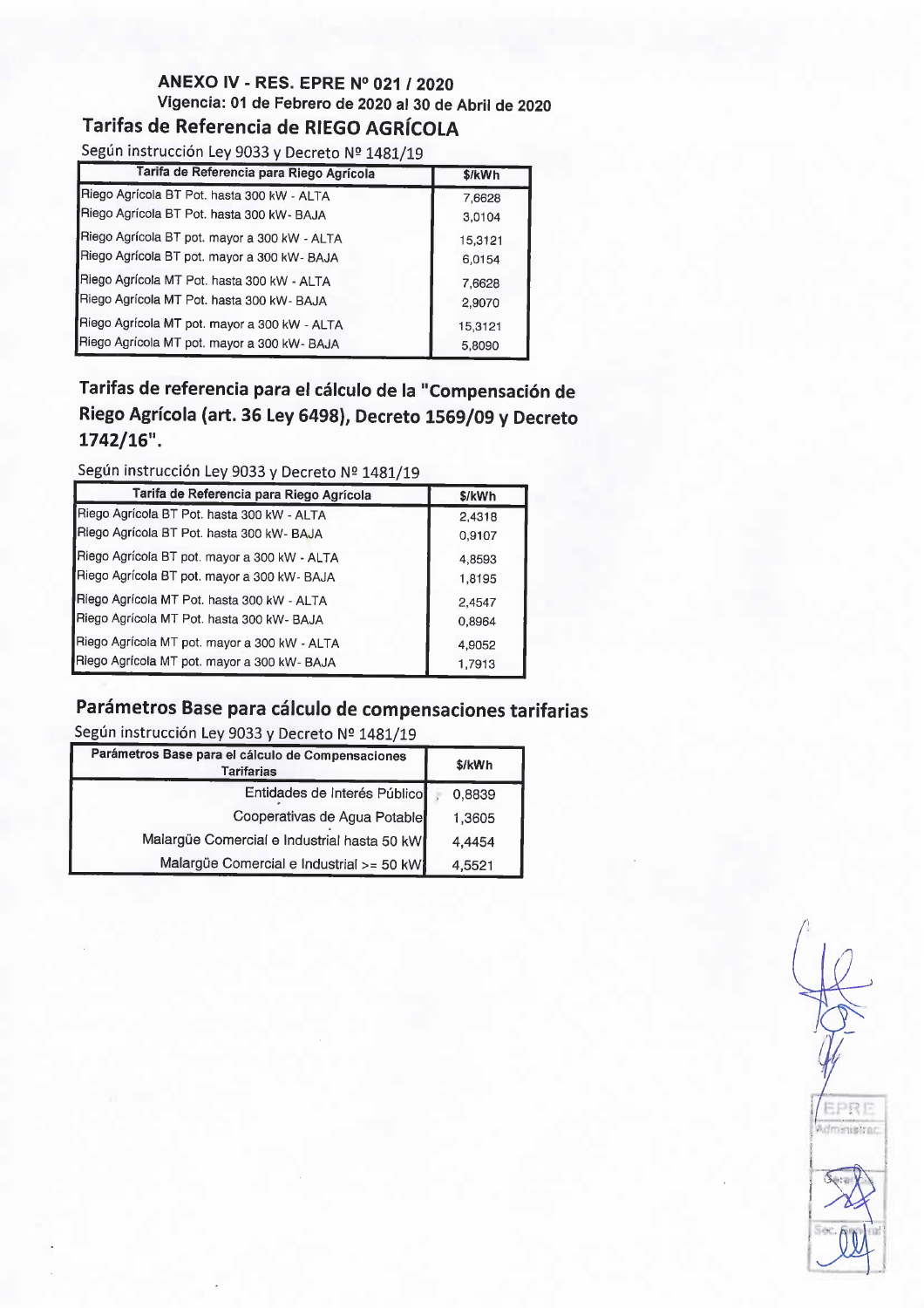## ANEXO IV -RES. EPRE N° 021 / 2020 Vigencia: 01 de Febrero de 2020 al 30 de Abril de 2020

Tarifas de Referencia de RIEGO AGRÍCOLA

Según instrucción Ley 9033 y Decreto Nº 1481/19

| Tarifa de Referencia para Riego Agrícola     | \$/kWh  |
|----------------------------------------------|---------|
| Riego Agrícola BT Pot. hasta 300 kW - ALTA   | 7,6628  |
| Riego Agrícola BT Pot. hasta 300 kW- BAJA    | 3,0104  |
| Riego Agrícola BT pot. mayor a 300 kW - ALTA | 15,3121 |
| Riego Agrícola BT pot. mayor a 300 kW- BAJA  | 6,0154  |
| Riego Agrícola MT Pot. hasta 300 kW - ALTA   | 7,6628  |
| Riego Agrícola MT Pot. hasta 300 kW- BAJA    | 2,9070  |
| Riego Agrícola MT pot. mayor a 300 kW - ALTA | 15,3121 |
| Riego Agrícola MT pot. mayor a 300 kW- BAJA  | 5,8090  |

Tarifas de referencia para el cálculo de la "Compensación de Riego Agrícola (art. 36 Ley 6498), Decreto 1569/09 y Decreto  $1742/16$ ".

### Según instrucción Ley 9033 y Decreto Nº 1481/19

| Tarifa de Referencia para Riego Agrícola     | \$/kWh |
|----------------------------------------------|--------|
| Riego Agrícola BT Pot. hasta 300 kW - ALTA   | 2,4318 |
| Riego Agrícola BT Pot. hasta 300 kW- BAJA    | 0,9107 |
| Riego Agrícola BT pot. mayor a 300 kW - ALTA | 4,8593 |
| Riego Agrícola BT pot. mayor a 300 kW- BAJA  | 1,8195 |
| Riego Agrícola MT Pot. hasta 300 kW - ALTA   | 2.4547 |
| Riego Agrícola MT Pot. hasta 300 kW- BAJA    | 0,8964 |
| Riego Agrícola MT pot. mayor a 300 kW - ALTA | 4,9052 |
| Riego Agrícola MT pot. mayor a 300 kW- BAJA  | 1,7913 |

# Parámetros Base para cálculo de compensaciones tarifarias

Según instrucción Ley 9033 y Decreto Nº 1481/19

| Parámetros Base para el cálculo de Compensaciones<br><b>Tarifarias</b> | \$/kWh |
|------------------------------------------------------------------------|--------|
| Entidades de Interés Público                                           | 0,8839 |
| Cooperativas de Agua Potable                                           | 1,3605 |
| Malargüe Comercial e Industrial hasta 50 kW                            | 4,4454 |
| Malargüe Comercial e Industrial >= 50 kW                               | 4,5521 |